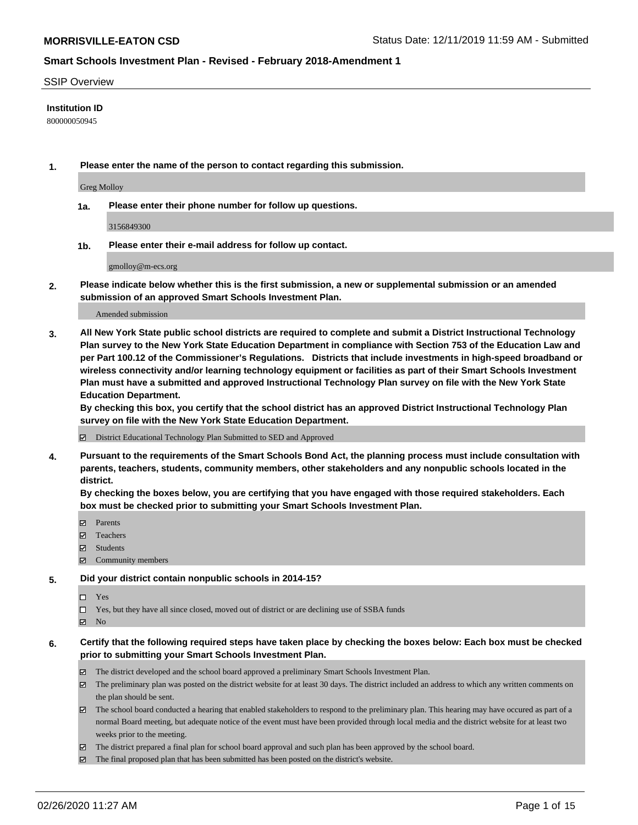#### SSIP Overview

#### **Institution ID**

800000050945

**1. Please enter the name of the person to contact regarding this submission.**

Greg Molloy

**1a. Please enter their phone number for follow up questions.**

3156849300

**1b. Please enter their e-mail address for follow up contact.**

gmolloy@m-ecs.org

**2. Please indicate below whether this is the first submission, a new or supplemental submission or an amended submission of an approved Smart Schools Investment Plan.**

#### Amended submission

**3. All New York State public school districts are required to complete and submit a District Instructional Technology Plan survey to the New York State Education Department in compliance with Section 753 of the Education Law and per Part 100.12 of the Commissioner's Regulations. Districts that include investments in high-speed broadband or wireless connectivity and/or learning technology equipment or facilities as part of their Smart Schools Investment Plan must have a submitted and approved Instructional Technology Plan survey on file with the New York State Education Department.** 

**By checking this box, you certify that the school district has an approved District Instructional Technology Plan survey on file with the New York State Education Department.**

District Educational Technology Plan Submitted to SED and Approved

**4. Pursuant to the requirements of the Smart Schools Bond Act, the planning process must include consultation with parents, teachers, students, community members, other stakeholders and any nonpublic schools located in the district.** 

**By checking the boxes below, you are certifying that you have engaged with those required stakeholders. Each box must be checked prior to submitting your Smart Schools Investment Plan.**

- **マ** Parents
- Teachers
- Students
- $\Xi$  Community members

#### **5. Did your district contain nonpublic schools in 2014-15?**

 $\neg$  Yes

Yes, but they have all since closed, moved out of district or are declining use of SSBA funds

**Z** No

#### **6. Certify that the following required steps have taken place by checking the boxes below: Each box must be checked prior to submitting your Smart Schools Investment Plan.**

- The district developed and the school board approved a preliminary Smart Schools Investment Plan.
- $\boxtimes$  The preliminary plan was posted on the district website for at least 30 days. The district included an address to which any written comments on the plan should be sent.
- $\boxtimes$  The school board conducted a hearing that enabled stakeholders to respond to the preliminary plan. This hearing may have occured as part of a normal Board meeting, but adequate notice of the event must have been provided through local media and the district website for at least two weeks prior to the meeting.
- The district prepared a final plan for school board approval and such plan has been approved by the school board.
- $\boxtimes$  The final proposed plan that has been submitted has been posted on the district's website.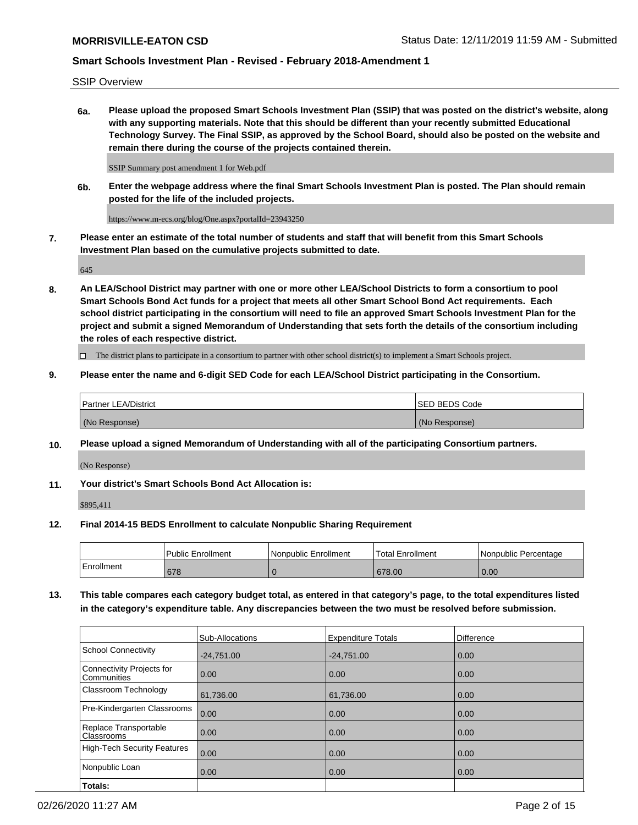SSIP Overview

**6a. Please upload the proposed Smart Schools Investment Plan (SSIP) that was posted on the district's website, along with any supporting materials. Note that this should be different than your recently submitted Educational Technology Survey. The Final SSIP, as approved by the School Board, should also be posted on the website and remain there during the course of the projects contained therein.**

SSIP Summary post amendment 1 for Web.pdf

**6b. Enter the webpage address where the final Smart Schools Investment Plan is posted. The Plan should remain posted for the life of the included projects.**

https://www.m-ecs.org/blog/One.aspx?portalId=23943250

**7. Please enter an estimate of the total number of students and staff that will benefit from this Smart Schools Investment Plan based on the cumulative projects submitted to date.**

645

**8. An LEA/School District may partner with one or more other LEA/School Districts to form a consortium to pool Smart Schools Bond Act funds for a project that meets all other Smart School Bond Act requirements. Each school district participating in the consortium will need to file an approved Smart Schools Investment Plan for the project and submit a signed Memorandum of Understanding that sets forth the details of the consortium including the roles of each respective district.**

 $\Box$  The district plans to participate in a consortium to partner with other school district(s) to implement a Smart Schools project.

#### **9. Please enter the name and 6-digit SED Code for each LEA/School District participating in the Consortium.**

| Partner LEA/District | <b>ISED BEDS Code</b> |
|----------------------|-----------------------|
| (No Response)        | (No Response)         |

### **10. Please upload a signed Memorandum of Understanding with all of the participating Consortium partners.**

(No Response)

**11. Your district's Smart Schools Bond Act Allocation is:**

\$895,411

### **12. Final 2014-15 BEDS Enrollment to calculate Nonpublic Sharing Requirement**

|            | <b>Public Enrollment</b> | Nonpublic Enrollment | Total Enrollment | l Nonpublic Percentage |
|------------|--------------------------|----------------------|------------------|------------------------|
| Enrollment | 678                      |                      | 678.00           | 0.00                   |

**13. This table compares each category budget total, as entered in that category's page, to the total expenditures listed in the category's expenditure table. Any discrepancies between the two must be resolved before submission.**

|                                          | Sub-Allocations | <b>Expenditure Totals</b> | <b>Difference</b> |
|------------------------------------------|-----------------|---------------------------|-------------------|
| <b>School Connectivity</b>               | $-24,751.00$    | $-24,751.00$              | 0.00              |
| Connectivity Projects for<br>Communities | 0.00            | 0.00                      | 0.00              |
| Classroom Technology                     | 61,736.00       | 61,736.00                 | 0.00              |
| Pre-Kindergarten Classrooms              | 0.00            | 0.00                      | 0.00              |
| Replace Transportable<br>Classrooms      | 0.00            | 0.00                      | 0.00              |
| <b>High-Tech Security Features</b>       | 0.00            | 0.00                      | 0.00              |
| Nonpublic Loan                           | 0.00            | 0.00                      | 0.00              |
| Totals:                                  |                 |                           |                   |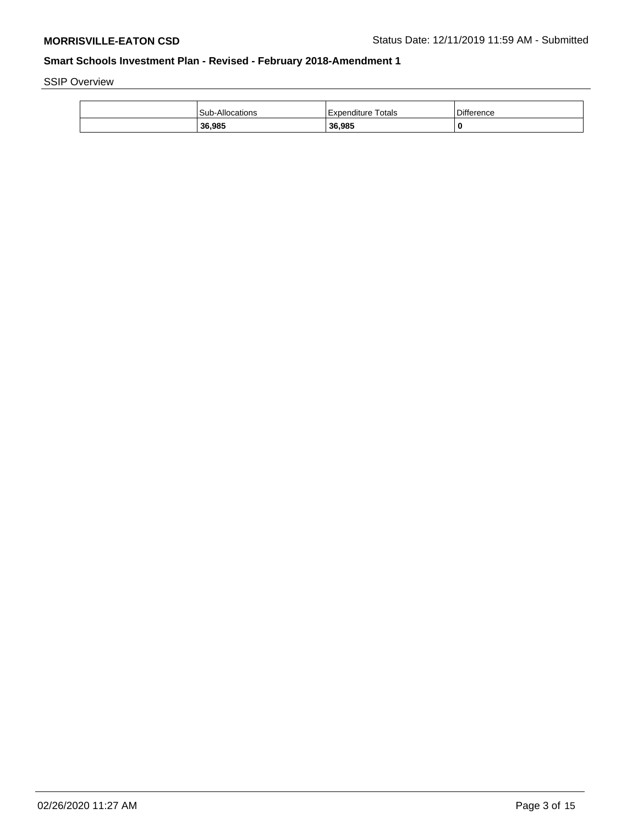SSIP Overview

| <b>Sub-Allocations</b> | Expenditure Totals | <b>Difference</b> |
|------------------------|--------------------|-------------------|
| 36,985                 | 36.985             | 0                 |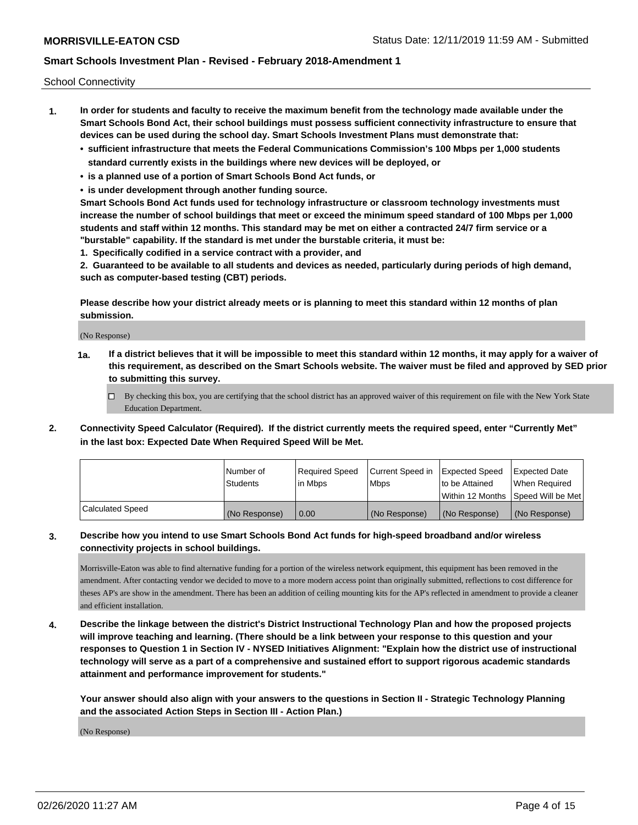School Connectivity

- **1. In order for students and faculty to receive the maximum benefit from the technology made available under the Smart Schools Bond Act, their school buildings must possess sufficient connectivity infrastructure to ensure that devices can be used during the school day. Smart Schools Investment Plans must demonstrate that:**
	- **• sufficient infrastructure that meets the Federal Communications Commission's 100 Mbps per 1,000 students standard currently exists in the buildings where new devices will be deployed, or**
	- **• is a planned use of a portion of Smart Schools Bond Act funds, or**
	- **• is under development through another funding source.**

**Smart Schools Bond Act funds used for technology infrastructure or classroom technology investments must increase the number of school buildings that meet or exceed the minimum speed standard of 100 Mbps per 1,000 students and staff within 12 months. This standard may be met on either a contracted 24/7 firm service or a "burstable" capability. If the standard is met under the burstable criteria, it must be:**

**1. Specifically codified in a service contract with a provider, and**

**2. Guaranteed to be available to all students and devices as needed, particularly during periods of high demand, such as computer-based testing (CBT) periods.**

**Please describe how your district already meets or is planning to meet this standard within 12 months of plan submission.**

(No Response)

**1a. If a district believes that it will be impossible to meet this standard within 12 months, it may apply for a waiver of this requirement, as described on the Smart Schools website. The waiver must be filed and approved by SED prior to submitting this survey.**

 $\Box$  By checking this box, you are certifying that the school district has an approved waiver of this requirement on file with the New York State Education Department.

**2. Connectivity Speed Calculator (Required). If the district currently meets the required speed, enter "Currently Met" in the last box: Expected Date When Required Speed Will be Met.**

|                  | l Number of     | Required Speed | Current Speed in | Expected Speed  | Expected Date                       |
|------------------|-----------------|----------------|------------------|-----------------|-------------------------------------|
|                  | <b>Students</b> | l in Mbps      | l Mbps           | Ito be Attained | When Required                       |
|                  |                 |                |                  |                 | Within 12 Months 1Speed Will be Met |
| Calculated Speed | (No Response)   | 0.00           | (No Response)    | (No Response)   | (No Response)                       |

### **3. Describe how you intend to use Smart Schools Bond Act funds for high-speed broadband and/or wireless connectivity projects in school buildings.**

Morrisville-Eaton was able to find alternative funding for a portion of the wireless network equipment, this equipment has been removed in the amendment. After contacting vendor we decided to move to a more modern access point than originally submitted, reflections to cost difference for theses AP's are show in the amendment. There has been an addition of ceiling mounting kits for the AP's reflected in amendment to provide a cleaner and efficient installation.

**4. Describe the linkage between the district's District Instructional Technology Plan and how the proposed projects will improve teaching and learning. (There should be a link between your response to this question and your responses to Question 1 in Section IV - NYSED Initiatives Alignment: "Explain how the district use of instructional technology will serve as a part of a comprehensive and sustained effort to support rigorous academic standards attainment and performance improvement for students."** 

**Your answer should also align with your answers to the questions in Section II - Strategic Technology Planning and the associated Action Steps in Section III - Action Plan.)**

(No Response)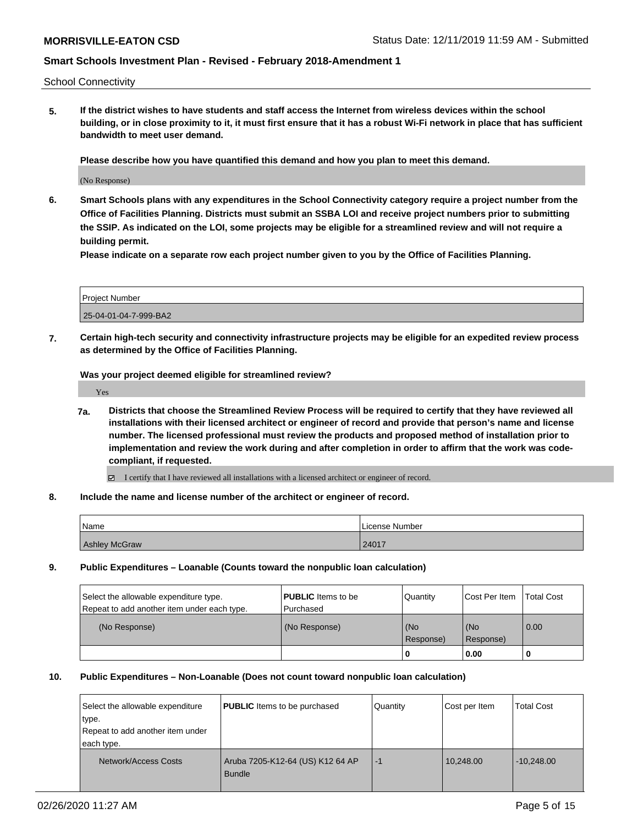School Connectivity

**5. If the district wishes to have students and staff access the Internet from wireless devices within the school building, or in close proximity to it, it must first ensure that it has a robust Wi-Fi network in place that has sufficient bandwidth to meet user demand.**

**Please describe how you have quantified this demand and how you plan to meet this demand.**

(No Response)

**6. Smart Schools plans with any expenditures in the School Connectivity category require a project number from the Office of Facilities Planning. Districts must submit an SSBA LOI and receive project numbers prior to submitting the SSIP. As indicated on the LOI, some projects may be eligible for a streamlined review and will not require a building permit.**

**Please indicate on a separate row each project number given to you by the Office of Facilities Planning.**

| Project Number        |  |
|-----------------------|--|
| 25-04-01-04-7-999-BA2 |  |

**7. Certain high-tech security and connectivity infrastructure projects may be eligible for an expedited review process as determined by the Office of Facilities Planning.**

**Was your project deemed eligible for streamlined review?**

Yes

- **7a. Districts that choose the Streamlined Review Process will be required to certify that they have reviewed all installations with their licensed architect or engineer of record and provide that person's name and license number. The licensed professional must review the products and proposed method of installation prior to implementation and review the work during and after completion in order to affirm that the work was codecompliant, if requested.**
	- I certify that I have reviewed all installations with a licensed architect or engineer of record.
- **8. Include the name and license number of the architect or engineer of record.**

| Name                 | License Number |
|----------------------|----------------|
| <b>Ashley McGraw</b> | 24017          |

**9. Public Expenditures – Loanable (Counts toward the nonpublic loan calculation)**

| Select the allowable expenditure type.      | <b>PUBLIC</b> Items to be | Quantity         | Cost Per Item    | <b>Total Cost</b> |
|---------------------------------------------|---------------------------|------------------|------------------|-------------------|
| Repeat to add another item under each type. | Purchased                 |                  |                  |                   |
| (No Response)                               | (No Response)             | (No<br>Response) | (No<br>Response) | 0.00              |
|                                             |                           |                  | 0.00             |                   |

#### **10. Public Expenditures – Non-Loanable (Does not count toward nonpublic loan calculation)**

| Select the allowable expenditure<br>type.<br>Repeat to add another item under<br>each type. | <b>PUBLIC</b> Items to be purchased        | Quantity | Cost per Item | <b>Total Cost</b> |
|---------------------------------------------------------------------------------------------|--------------------------------------------|----------|---------------|-------------------|
| Network/Access Costs                                                                        | Aruba 7205-K12-64 (US) K12 64 AP<br>Bundle | $-1$     | 10,248.00     | $-10,248.00$      |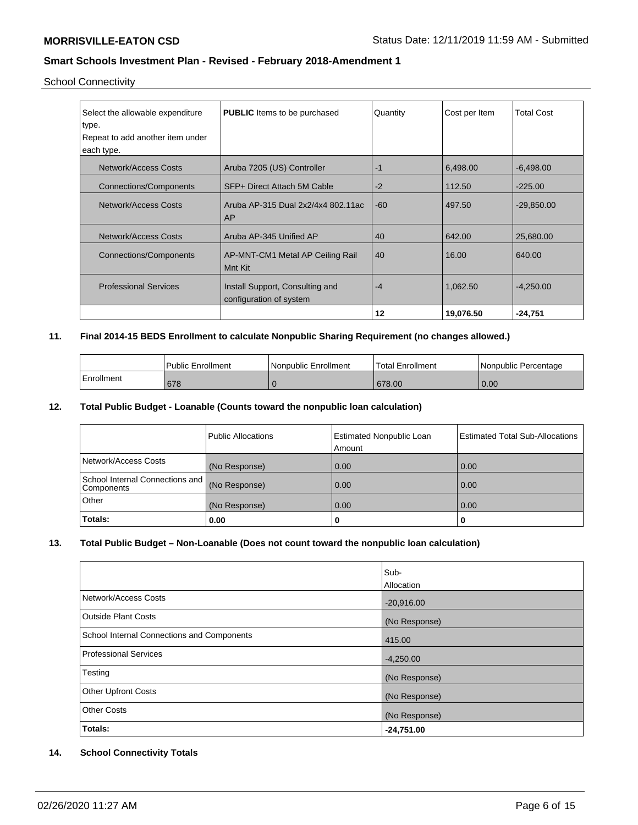# School Connectivity

| Select the allowable expenditure<br>type. | <b>PUBLIC</b> Items to be purchased                        | Quantity | Cost per Item | <b>Total Cost</b> |
|-------------------------------------------|------------------------------------------------------------|----------|---------------|-------------------|
| Repeat to add another item under          |                                                            |          |               |                   |
| each type.                                |                                                            |          |               |                   |
| Network/Access Costs                      | Aruba 7205 (US) Controller                                 | $-1$     | 6,498.00      | $-6,498.00$       |
| <b>Connections/Components</b>             | SFP+ Direct Attach 5M Cable                                | $-2$     | 112.50        | $-225.00$         |
| <b>Network/Access Costs</b>               | Aruba AP-315 Dual 2x2/4x4 802.11ac<br>AP                   | $-60$    | 497.50        | $-29,850.00$      |
| <b>Network/Access Costs</b>               | Aruba AP-345 Unified AP                                    | 40       | 642.00        | 25,680.00         |
| Connections/Components                    | AP-MNT-CM1 Metal AP Ceiling Rail<br>Mnt Kit                | 40       | 16.00         | 640.00            |
| <b>Professional Services</b>              | Install Support, Consulting and<br>configuration of system | $-4$     | 1,062.50      | $-4,250.00$       |
|                                           |                                                            | 12       | 19,076.50     | $-24,751$         |

## **11. Final 2014-15 BEDS Enrollment to calculate Nonpublic Sharing Requirement (no changes allowed.)**

|            | l Public Enrollment | Nonpublic Enrollment | 'Total Enrollment | Nonpublic Percentage |
|------------|---------------------|----------------------|-------------------|----------------------|
| Enrollment | 678                 |                      | 678.00            | 0.00                 |

### **12. Total Public Budget - Loanable (Counts toward the nonpublic loan calculation)**

|                                                 | <b>Public Allocations</b> | <b>Estimated Nonpublic Loan</b><br>Amount | <b>Estimated Total Sub-Allocations</b> |
|-------------------------------------------------|---------------------------|-------------------------------------------|----------------------------------------|
| Network/Access Costs                            | (No Response)             | 0.00                                      | 0.00                                   |
| School Internal Connections and I<br>Components | (No Response)             | 0.00                                      | 0.00                                   |
| Other                                           | (No Response)             | 0.00                                      | 0.00                                   |
| Totals:                                         | 0.00                      | 0                                         |                                        |

## **13. Total Public Budget – Non-Loanable (Does not count toward the nonpublic loan calculation)**

|                                            | Sub-          |
|--------------------------------------------|---------------|
|                                            | Allocation    |
| Network/Access Costs                       | $-20,916.00$  |
| <b>Outside Plant Costs</b>                 | (No Response) |
| School Internal Connections and Components | 415.00        |
| <b>Professional Services</b>               | $-4,250.00$   |
| Testing                                    | (No Response) |
| <b>Other Upfront Costs</b>                 | (No Response) |
| <b>Other Costs</b>                         | (No Response) |
| Totals:                                    | $-24,751.00$  |

# **14. School Connectivity Totals**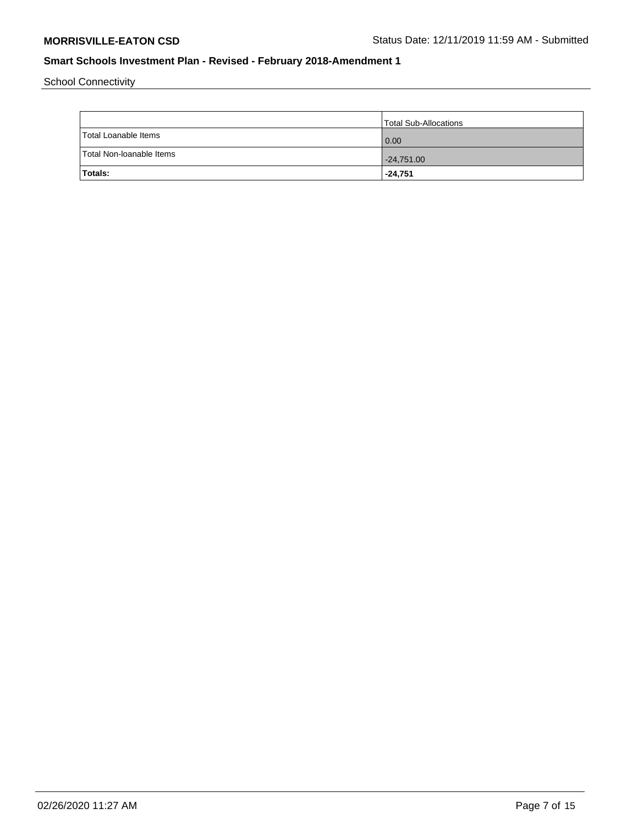School Connectivity

|                          | Total Sub-Allocations |
|--------------------------|-----------------------|
| Total Loanable Items     | $\overline{0.00}$     |
| Total Non-Ioanable Items | $-24,751.00$          |
| <b>Totals:</b>           | -24,751               |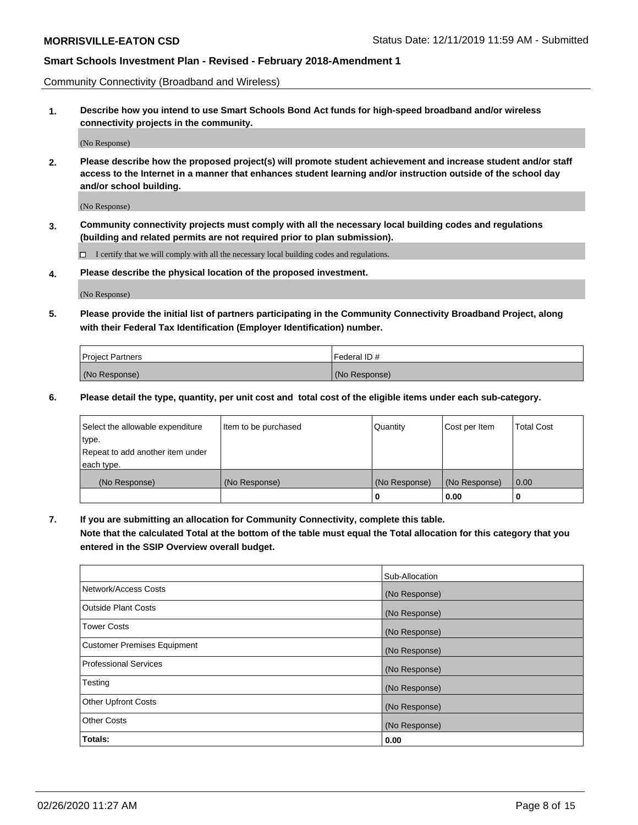Community Connectivity (Broadband and Wireless)

**1. Describe how you intend to use Smart Schools Bond Act funds for high-speed broadband and/or wireless connectivity projects in the community.**

(No Response)

**2. Please describe how the proposed project(s) will promote student achievement and increase student and/or staff access to the Internet in a manner that enhances student learning and/or instruction outside of the school day and/or school building.**

(No Response)

**3. Community connectivity projects must comply with all the necessary local building codes and regulations (building and related permits are not required prior to plan submission).**

 $\Box$  I certify that we will comply with all the necessary local building codes and regulations.

**4. Please describe the physical location of the proposed investment.**

(No Response)

**5. Please provide the initial list of partners participating in the Community Connectivity Broadband Project, along with their Federal Tax Identification (Employer Identification) number.**

| <b>Project Partners</b> | l Federal ID # |
|-------------------------|----------------|
| (No Response)           | (No Response)  |

**6. Please detail the type, quantity, per unit cost and total cost of the eligible items under each sub-category.**

| Select the allowable expenditure | Item to be purchased | Quantity      | Cost per Item | <b>Total Cost</b> |
|----------------------------------|----------------------|---------------|---------------|-------------------|
| type.                            |                      |               |               |                   |
| Repeat to add another item under |                      |               |               |                   |
| each type.                       |                      |               |               |                   |
| (No Response)                    | (No Response)        | (No Response) | (No Response) | 0.00              |
|                                  |                      | o             | 0.00          |                   |

**7. If you are submitting an allocation for Community Connectivity, complete this table.**

**Note that the calculated Total at the bottom of the table must equal the Total allocation for this category that you entered in the SSIP Overview overall budget.**

|                                    | Sub-Allocation |
|------------------------------------|----------------|
| Network/Access Costs               | (No Response)  |
| Outside Plant Costs                | (No Response)  |
| <b>Tower Costs</b>                 | (No Response)  |
| <b>Customer Premises Equipment</b> | (No Response)  |
| <b>Professional Services</b>       | (No Response)  |
| Testing                            | (No Response)  |
| <b>Other Upfront Costs</b>         | (No Response)  |
| <b>Other Costs</b>                 | (No Response)  |
| Totals:                            | 0.00           |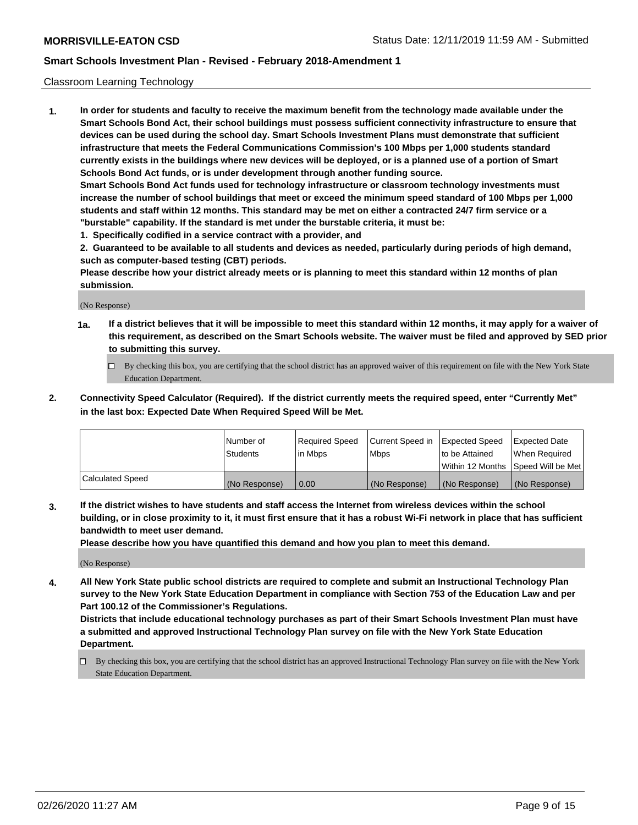### Classroom Learning Technology

**1. In order for students and faculty to receive the maximum benefit from the technology made available under the Smart Schools Bond Act, their school buildings must possess sufficient connectivity infrastructure to ensure that devices can be used during the school day. Smart Schools Investment Plans must demonstrate that sufficient infrastructure that meets the Federal Communications Commission's 100 Mbps per 1,000 students standard currently exists in the buildings where new devices will be deployed, or is a planned use of a portion of Smart Schools Bond Act funds, or is under development through another funding source. Smart Schools Bond Act funds used for technology infrastructure or classroom technology investments must increase the number of school buildings that meet or exceed the minimum speed standard of 100 Mbps per 1,000 students and staff within 12 months. This standard may be met on either a contracted 24/7 firm service or a**

**"burstable" capability. If the standard is met under the burstable criteria, it must be:**

**1. Specifically codified in a service contract with a provider, and**

**2. Guaranteed to be available to all students and devices as needed, particularly during periods of high demand, such as computer-based testing (CBT) periods.**

**Please describe how your district already meets or is planning to meet this standard within 12 months of plan submission.**

(No Response)

- **1a. If a district believes that it will be impossible to meet this standard within 12 months, it may apply for a waiver of this requirement, as described on the Smart Schools website. The waiver must be filed and approved by SED prior to submitting this survey.**
	- By checking this box, you are certifying that the school district has an approved waiver of this requirement on file with the New York State Education Department.
- **2. Connectivity Speed Calculator (Required). If the district currently meets the required speed, enter "Currently Met" in the last box: Expected Date When Required Speed Will be Met.**

|                  | l Number of     | Required Speed | Current Speed in | <b>Expected Speed</b> | <b>Expected Date</b>                |
|------------------|-----------------|----------------|------------------|-----------------------|-------------------------------------|
|                  | <b>Students</b> | l in Mbps      | l Mbps           | to be Attained        | When Required                       |
|                  |                 |                |                  |                       | Within 12 Months  Speed Will be Met |
| Calculated Speed | (No Response)   | 0.00           | (No Response)    | l (No Response)       | (No Response)                       |

**3. If the district wishes to have students and staff access the Internet from wireless devices within the school building, or in close proximity to it, it must first ensure that it has a robust Wi-Fi network in place that has sufficient bandwidth to meet user demand.**

**Please describe how you have quantified this demand and how you plan to meet this demand.**

(No Response)

**4. All New York State public school districts are required to complete and submit an Instructional Technology Plan survey to the New York State Education Department in compliance with Section 753 of the Education Law and per Part 100.12 of the Commissioner's Regulations.**

**Districts that include educational technology purchases as part of their Smart Schools Investment Plan must have a submitted and approved Instructional Technology Plan survey on file with the New York State Education Department.**

By checking this box, you are certifying that the school district has an approved Instructional Technology Plan survey on file with the New York State Education Department.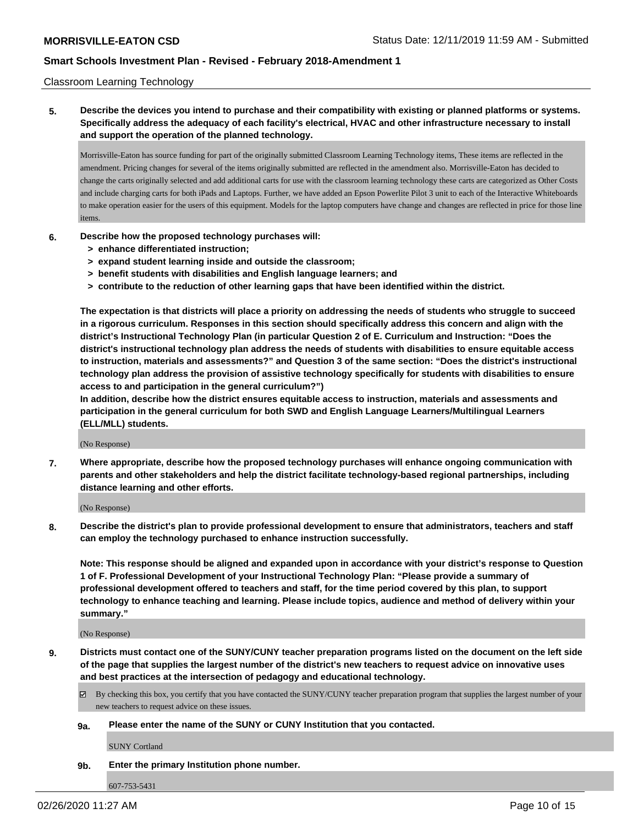### Classroom Learning Technology

**5. Describe the devices you intend to purchase and their compatibility with existing or planned platforms or systems. Specifically address the adequacy of each facility's electrical, HVAC and other infrastructure necessary to install and support the operation of the planned technology.**

Morrisville-Eaton has source funding for part of the originally submitted Classroom Learning Technology items, These items are reflected in the amendment. Pricing changes for several of the items originally submitted are reflected in the amendment also. Morrisville-Eaton has decided to change the carts originally selected and add additional carts for use with the classroom learning technology these carts are categorized as Other Costs and include charging carts for both iPads and Laptops. Further, we have added an Epson Powerlite Pilot 3 unit to each of the Interactive Whiteboards to make operation easier for the users of this equipment. Models for the laptop computers have change and changes are reflected in price for those line items.

- **6. Describe how the proposed technology purchases will:**
	- **> enhance differentiated instruction;**
	- **> expand student learning inside and outside the classroom;**
	- **> benefit students with disabilities and English language learners; and**
	- **> contribute to the reduction of other learning gaps that have been identified within the district.**

**The expectation is that districts will place a priority on addressing the needs of students who struggle to succeed in a rigorous curriculum. Responses in this section should specifically address this concern and align with the district's Instructional Technology Plan (in particular Question 2 of E. Curriculum and Instruction: "Does the district's instructional technology plan address the needs of students with disabilities to ensure equitable access to instruction, materials and assessments?" and Question 3 of the same section: "Does the district's instructional technology plan address the provision of assistive technology specifically for students with disabilities to ensure access to and participation in the general curriculum?")**

**In addition, describe how the district ensures equitable access to instruction, materials and assessments and participation in the general curriculum for both SWD and English Language Learners/Multilingual Learners (ELL/MLL) students.**

(No Response)

**7. Where appropriate, describe how the proposed technology purchases will enhance ongoing communication with parents and other stakeholders and help the district facilitate technology-based regional partnerships, including distance learning and other efforts.**

(No Response)

**8. Describe the district's plan to provide professional development to ensure that administrators, teachers and staff can employ the technology purchased to enhance instruction successfully.**

**Note: This response should be aligned and expanded upon in accordance with your district's response to Question 1 of F. Professional Development of your Instructional Technology Plan: "Please provide a summary of professional development offered to teachers and staff, for the time period covered by this plan, to support technology to enhance teaching and learning. Please include topics, audience and method of delivery within your summary."**

(No Response)

- **9. Districts must contact one of the SUNY/CUNY teacher preparation programs listed on the document on the left side of the page that supplies the largest number of the district's new teachers to request advice on innovative uses and best practices at the intersection of pedagogy and educational technology.**
	- By checking this box, you certify that you have contacted the SUNY/CUNY teacher preparation program that supplies the largest number of your new teachers to request advice on these issues.
	- **9a. Please enter the name of the SUNY or CUNY Institution that you contacted.**

SUNY Cortland

**9b. Enter the primary Institution phone number.**

607-753-5431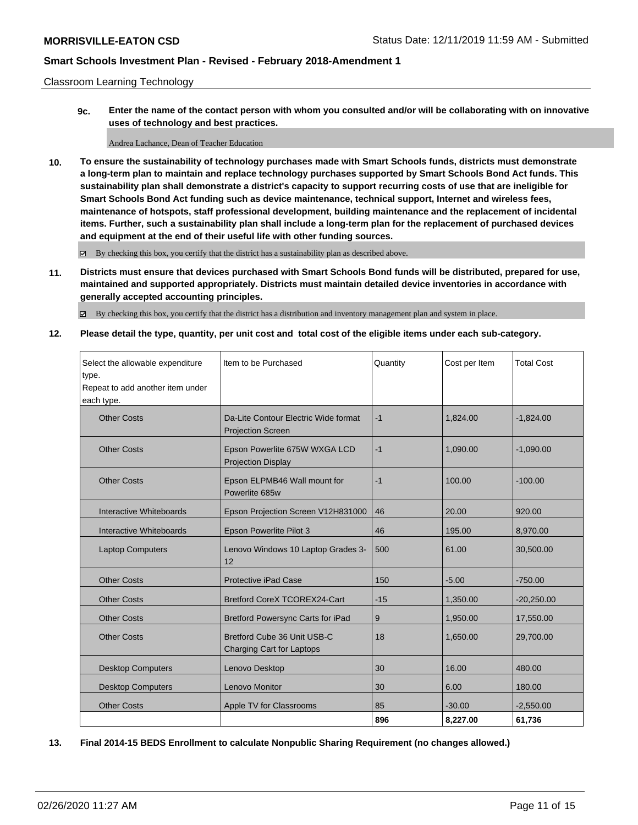#### Classroom Learning Technology

**9c. Enter the name of the contact person with whom you consulted and/or will be collaborating with on innovative uses of technology and best practices.**

Andrea Lachance, Dean of Teacher Education

**10. To ensure the sustainability of technology purchases made with Smart Schools funds, districts must demonstrate a long-term plan to maintain and replace technology purchases supported by Smart Schools Bond Act funds. This sustainability plan shall demonstrate a district's capacity to support recurring costs of use that are ineligible for Smart Schools Bond Act funding such as device maintenance, technical support, Internet and wireless fees, maintenance of hotspots, staff professional development, building maintenance and the replacement of incidental items. Further, such a sustainability plan shall include a long-term plan for the replacement of purchased devices and equipment at the end of their useful life with other funding sources.**

By checking this box, you certify that the district has a sustainability plan as described above.

**11. Districts must ensure that devices purchased with Smart Schools Bond funds will be distributed, prepared for use, maintained and supported appropriately. Districts must maintain detailed device inventories in accordance with generally accepted accounting principles.**

By checking this box, you certify that the district has a distribution and inventory management plan and system in place.

**12. Please detail the type, quantity, per unit cost and total cost of the eligible items under each sub-category.**

| Select the allowable expenditure<br>type.<br>Repeat to add another item under<br>each type. | Item to be Purchased                                             | Quantity | Cost per Item | <b>Total Cost</b> |
|---------------------------------------------------------------------------------------------|------------------------------------------------------------------|----------|---------------|-------------------|
| <b>Other Costs</b>                                                                          | Da-Lite Contour Electric Wide format<br><b>Projection Screen</b> | $-1$     | 1,824.00      | $-1,824.00$       |
| <b>Other Costs</b>                                                                          | Epson Powerlite 675W WXGA LCD<br><b>Projection Display</b>       | $-1$     | 1.090.00      | $-1.090.00$       |
| <b>Other Costs</b>                                                                          | Epson ELPMB46 Wall mount for<br>Powerlite 685w                   | $-1$     | 100.00        | $-100.00$         |
| Interactive Whiteboards                                                                     | Epson Projection Screen V12H831000                               | 46       | 20.00         | 920.00            |
| Interactive Whiteboards                                                                     | Epson Powerlite Pilot 3                                          | 46       | 195.00        | 8,970.00          |
| <b>Laptop Computers</b>                                                                     | Lenovo Windows 10 Laptop Grades 3-<br>12                         | 500      | 61.00         | 30,500.00         |
| <b>Other Costs</b>                                                                          | <b>Protective iPad Case</b>                                      | 150      | $-5.00$       | $-750.00$         |
| <b>Other Costs</b>                                                                          | <b>Bretford CoreX TCOREX24-Cart</b>                              | $-15$    | 1,350.00      | $-20,250.00$      |
| <b>Other Costs</b>                                                                          | <b>Bretford Powersync Carts for iPad</b>                         | 9        | 1,950.00      | 17,550.00         |
| <b>Other Costs</b>                                                                          | Bretford Cube 36 Unit USB-C<br>Charging Cart for Laptops         | 18       | 1,650.00      | 29,700.00         |
| <b>Desktop Computers</b>                                                                    | Lenovo Desktop                                                   | 30       | 16.00         | 480.00            |
| <b>Desktop Computers</b>                                                                    | Lenovo Monitor                                                   | 30       | 6.00          | 180.00            |
| <b>Other Costs</b>                                                                          | Apple TV for Classrooms                                          | 85       | $-30.00$      | $-2,550.00$       |
|                                                                                             |                                                                  | 896      | 8,227.00      | 61,736            |

**13. Final 2014-15 BEDS Enrollment to calculate Nonpublic Sharing Requirement (no changes allowed.)**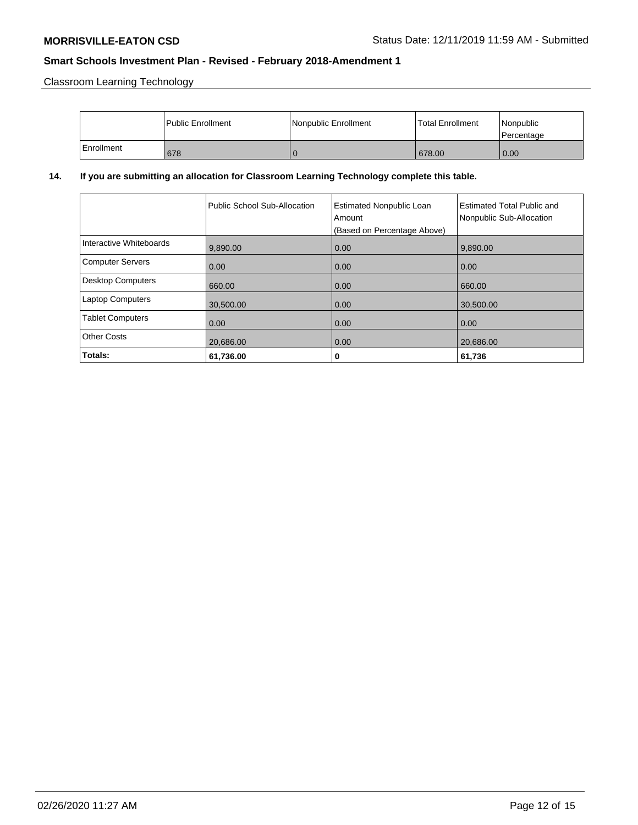Classroom Learning Technology

|            | l Public Enrollment | Nonpublic Enrollment | <b>Total Enrollment</b> | Nonpublic<br>Percentage |
|------------|---------------------|----------------------|-------------------------|-------------------------|
| Enrollment | 678                 |                      | 678.00                  | 0.00                    |

## **14. If you are submitting an allocation for Classroom Learning Technology complete this table.**

|                          | Public School Sub-Allocation | <b>Estimated Nonpublic Loan</b><br>Amount<br>(Based on Percentage Above) | <b>Estimated Total Public and</b><br>Nonpublic Sub-Allocation |
|--------------------------|------------------------------|--------------------------------------------------------------------------|---------------------------------------------------------------|
| Interactive Whiteboards  | 9,890.00                     | 0.00                                                                     | 9,890.00                                                      |
| <b>Computer Servers</b>  | 0.00                         | 0.00                                                                     | 0.00                                                          |
| <b>Desktop Computers</b> | 660.00                       | 0.00                                                                     | 660.00                                                        |
| <b>Laptop Computers</b>  | 30,500.00                    | 0.00                                                                     | 30,500.00                                                     |
| <b>Tablet Computers</b>  | 0.00                         | 0.00                                                                     | 0.00                                                          |
| <b>Other Costs</b>       | 20,686.00                    | 0.00                                                                     | 20,686.00                                                     |
| Totals:                  | 61,736.00                    | 0                                                                        | 61,736                                                        |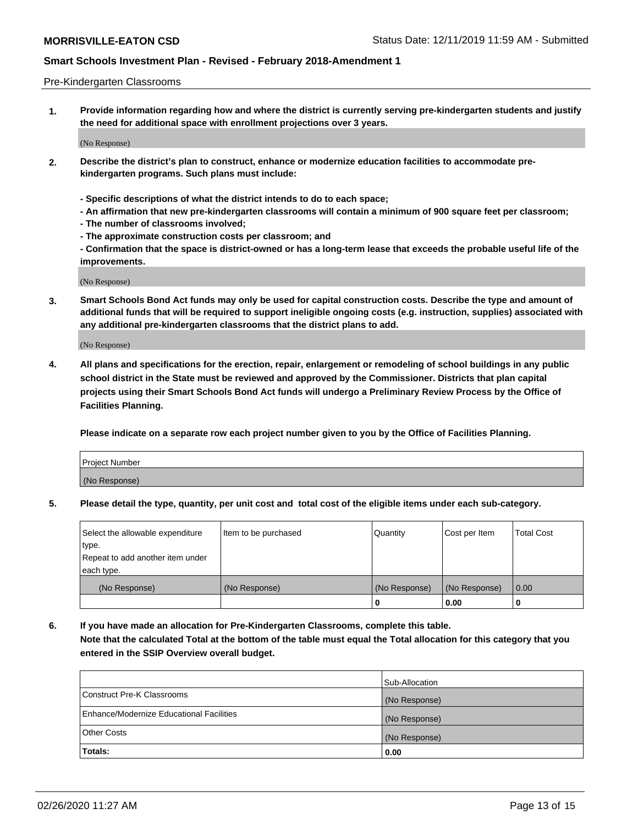#### Pre-Kindergarten Classrooms

**1. Provide information regarding how and where the district is currently serving pre-kindergarten students and justify the need for additional space with enrollment projections over 3 years.**

(No Response)

- **2. Describe the district's plan to construct, enhance or modernize education facilities to accommodate prekindergarten programs. Such plans must include:**
	- **Specific descriptions of what the district intends to do to each space;**
	- **An affirmation that new pre-kindergarten classrooms will contain a minimum of 900 square feet per classroom;**
	- **The number of classrooms involved;**
	- **The approximate construction costs per classroom; and**
	- **Confirmation that the space is district-owned or has a long-term lease that exceeds the probable useful life of the improvements.**

(No Response)

**3. Smart Schools Bond Act funds may only be used for capital construction costs. Describe the type and amount of additional funds that will be required to support ineligible ongoing costs (e.g. instruction, supplies) associated with any additional pre-kindergarten classrooms that the district plans to add.**

(No Response)

**4. All plans and specifications for the erection, repair, enlargement or remodeling of school buildings in any public school district in the State must be reviewed and approved by the Commissioner. Districts that plan capital projects using their Smart Schools Bond Act funds will undergo a Preliminary Review Process by the Office of Facilities Planning.**

**Please indicate on a separate row each project number given to you by the Office of Facilities Planning.**

| Project Number |  |
|----------------|--|
| (No Response)  |  |
|                |  |

**5. Please detail the type, quantity, per unit cost and total cost of the eligible items under each sub-category.**

| Select the allowable expenditure | Item to be purchased | Quantity      | Cost per Item | <b>Total Cost</b> |
|----------------------------------|----------------------|---------------|---------------|-------------------|
| type.                            |                      |               |               |                   |
| Repeat to add another item under |                      |               |               |                   |
| each type.                       |                      |               |               |                   |
| (No Response)                    | (No Response)        | (No Response) | (No Response) | 0.00              |
|                                  |                      | U             | 0.00          |                   |

**6. If you have made an allocation for Pre-Kindergarten Classrooms, complete this table. Note that the calculated Total at the bottom of the table must equal the Total allocation for this category that you entered in the SSIP Overview overall budget.**

|                                          | Sub-Allocation |
|------------------------------------------|----------------|
| Construct Pre-K Classrooms               | (No Response)  |
| Enhance/Modernize Educational Facilities | (No Response)  |
| <b>Other Costs</b>                       | (No Response)  |
| Totals:                                  | 0.00           |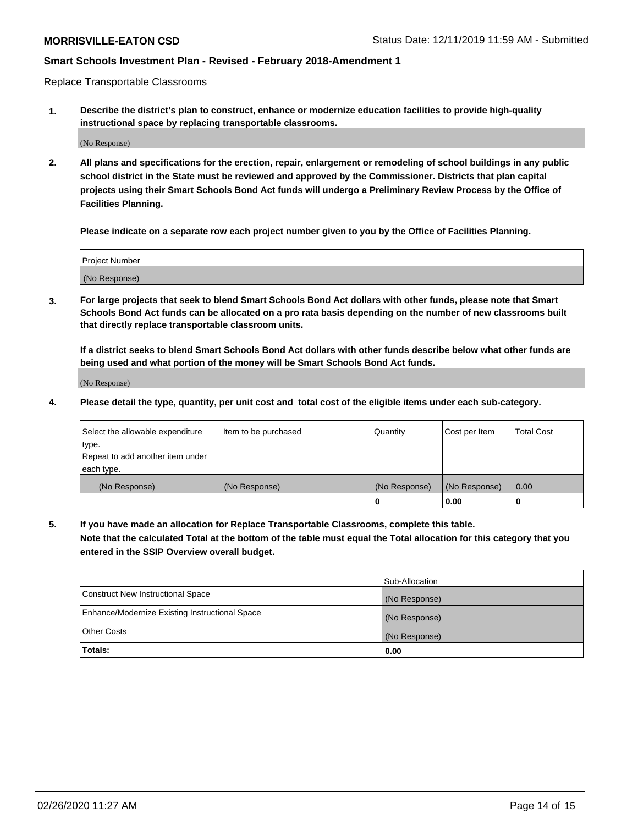Replace Transportable Classrooms

**1. Describe the district's plan to construct, enhance or modernize education facilities to provide high-quality instructional space by replacing transportable classrooms.**

(No Response)

**2. All plans and specifications for the erection, repair, enlargement or remodeling of school buildings in any public school district in the State must be reviewed and approved by the Commissioner. Districts that plan capital projects using their Smart Schools Bond Act funds will undergo a Preliminary Review Process by the Office of Facilities Planning.**

**Please indicate on a separate row each project number given to you by the Office of Facilities Planning.**

| Project Number |  |
|----------------|--|
|                |  |
| (No Response)  |  |

**3. For large projects that seek to blend Smart Schools Bond Act dollars with other funds, please note that Smart Schools Bond Act funds can be allocated on a pro rata basis depending on the number of new classrooms built that directly replace transportable classroom units.**

**If a district seeks to blend Smart Schools Bond Act dollars with other funds describe below what other funds are being used and what portion of the money will be Smart Schools Bond Act funds.**

(No Response)

**4. Please detail the type, quantity, per unit cost and total cost of the eligible items under each sub-category.**

| Select the allowable expenditure | Item to be purchased | Quantity      | Cost per Item | Total Cost |
|----------------------------------|----------------------|---------------|---------------|------------|
| ∣type.                           |                      |               |               |            |
| Repeat to add another item under |                      |               |               |            |
| each type.                       |                      |               |               |            |
| (No Response)                    | (No Response)        | (No Response) | (No Response) | 0.00       |
|                                  |                      | u             | 0.00          |            |

**5. If you have made an allocation for Replace Transportable Classrooms, complete this table. Note that the calculated Total at the bottom of the table must equal the Total allocation for this category that you entered in the SSIP Overview overall budget.**

|                                                | Sub-Allocation |
|------------------------------------------------|----------------|
| Construct New Instructional Space              | (No Response)  |
| Enhance/Modernize Existing Instructional Space | (No Response)  |
| Other Costs                                    | (No Response)  |
| Totals:                                        | 0.00           |